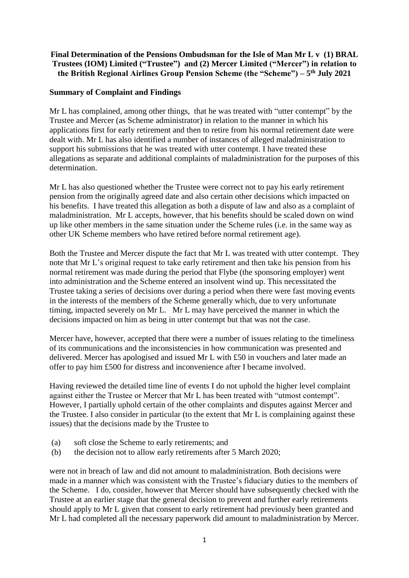### **Final Determination of the Pensions Ombudsman for the Isle of Man Mr L v (1) BRAL Trustees (IOM) Limited ("Trustee") and (2) Mercer Limited ("Mercer") in relation to the British Regional Airlines Group Pension Scheme (the "Scheme") – 5 th July 2021**

#### **Summary of Complaint and Findings**

Mr L has complained, among other things, that he was treated with "utter contempt" by the Trustee and Mercer (as Scheme administrator) in relation to the manner in which his applications first for early retirement and then to retire from his normal retirement date were dealt with. Mr L has also identified a number of instances of alleged maladministration to support his submissions that he was treated with utter contempt. I have treated these allegations as separate and additional complaints of maladministration for the purposes of this determination.

Mr L has also questioned whether the Trustee were correct not to pay his early retirement pension from the originally agreed date and also certain other decisions which impacted on his benefits. I have treated this allegation as both a dispute of law and also as a complaint of maladministration. Mr L accepts, however, that his benefits should be scaled down on wind up like other members in the same situation under the Scheme rules (i.e. in the same way as other UK Scheme members who have retired before normal retirement age).

Both the Trustee and Mercer dispute the fact that Mr L was treated with utter contempt. They note that Mr L's original request to take early retirement and then take his pension from his normal retirement was made during the period that Flybe (the sponsoring employer) went into administration and the Scheme entered an insolvent wind up. This necessitated the Trustee taking a series of decisions over during a period when there were fast moving events in the interests of the members of the Scheme generally which, due to very unfortunate timing, impacted severely on Mr L. Mr L may have perceived the manner in which the decisions impacted on him as being in utter contempt but that was not the case.

Mercer have, however, accepted that there were a number of issues relating to the timeliness of its communications and the inconsistencies in how communication was presented and delivered. Mercer has apologised and issued Mr L with £50 in vouchers and later made an offer to pay him £500 for distress and inconvenience after I became involved.

Having reviewed the detailed time line of events I do not uphold the higher level complaint against either the Trustee or Mercer that Mr L has been treated with "utmost contempt". However, I partially uphold certain of the other complaints and disputes against Mercer and the Trustee. I also consider in particular (to the extent that Mr L is complaining against these issues) that the decisions made by the Trustee to

- (a) soft close the Scheme to early retirements; and
- (b) the decision not to allow early retirements after 5 March 2020;

were not in breach of law and did not amount to maladministration. Both decisions were made in a manner which was consistent with the Trustee's fiduciary duties to the members of the Scheme. I do, consider, however that Mercer should have subsequently checked with the Trustee at an earlier stage that the general decision to prevent and further early retirements should apply to Mr L given that consent to early retirement had previously been granted and Mr L had completed all the necessary paperwork did amount to maladministration by Mercer.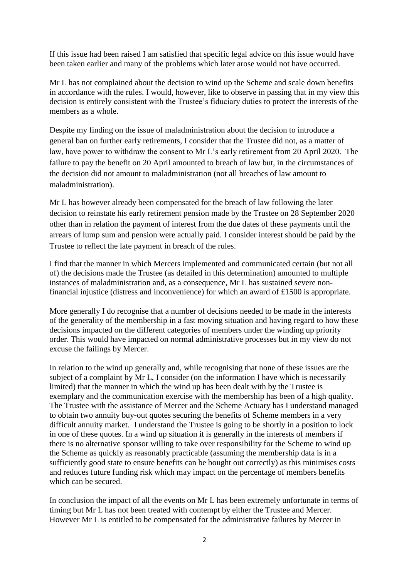If this issue had been raised I am satisfied that specific legal advice on this issue would have been taken earlier and many of the problems which later arose would not have occurred.

Mr L has not complained about the decision to wind up the Scheme and scale down benefits in accordance with the rules. I would, however, like to observe in passing that in my view this decision is entirely consistent with the Trustee's fiduciary duties to protect the interests of the members as a whole.

Despite my finding on the issue of maladministration about the decision to introduce a general ban on further early retirements, I consider that the Trustee did not, as a matter of law, have power to withdraw the consent to Mr L's early retirement from 20 April 2020. The failure to pay the benefit on 20 April amounted to breach of law but, in the circumstances of the decision did not amount to maladministration (not all breaches of law amount to maladministration).

Mr L has however already been compensated for the breach of law following the later decision to reinstate his early retirement pension made by the Trustee on 28 September 2020 other than in relation the payment of interest from the due dates of these payments until the arrears of lump sum and pension were actually paid. I consider interest should be paid by the Trustee to reflect the late payment in breach of the rules.

I find that the manner in which Mercers implemented and communicated certain (but not all of) the decisions made the Trustee (as detailed in this determination) amounted to multiple instances of maladministration and, as a consequence, Mr L has sustained severe nonfinancial injustice (distress and inconvenience) for which an award of £1500 is appropriate.

More generally I do recognise that a number of decisions needed to be made in the interests of the generality of the membership in a fast moving situation and having regard to how these decisions impacted on the different categories of members under the winding up priority order. This would have impacted on normal administrative processes but in my view do not excuse the failings by Mercer.

In relation to the wind up generally and, while recognising that none of these issues are the subject of a complaint by Mr L, I consider (on the information I have which is necessarily limited) that the manner in which the wind up has been dealt with by the Trustee is exemplary and the communication exercise with the membership has been of a high quality. The Trustee with the assistance of Mercer and the Scheme Actuary has I understand managed to obtain two annuity buy-out quotes securing the benefits of Scheme members in a very difficult annuity market. I understand the Trustee is going to be shortly in a position to lock in one of these quotes. In a wind up situation it is generally in the interests of members if there is no alternative sponsor willing to take over responsibility for the Scheme to wind up the Scheme as quickly as reasonably practicable (assuming the membership data is in a sufficiently good state to ensure benefits can be bought out correctly) as this minimises costs and reduces future funding risk which may impact on the percentage of members benefits which can be secured.

In conclusion the impact of all the events on Mr L has been extremely unfortunate in terms of timing but Mr L has not been treated with contempt by either the Trustee and Mercer. However Mr L is entitled to be compensated for the administrative failures by Mercer in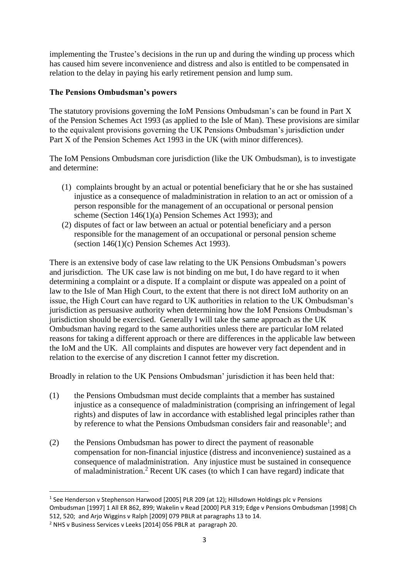implementing the Trustee's decisions in the run up and during the winding up process which has caused him severe inconvenience and distress and also is entitled to be compensated in relation to the delay in paying his early retirement pension and lump sum.

### **The Pensions Ombudsman's powers**

The statutory provisions governing the IoM Pensions Ombudsman's can be found in Part X of the Pension Schemes Act 1993 (as applied to the Isle of Man). These provisions are similar to the equivalent provisions governing the UK Pensions Ombudsman's jurisdiction under Part X of the Pension Schemes Act 1993 in the UK (with minor differences).

The IoM Pensions Ombudsman core jurisdiction (like the UK Ombudsman), is to investigate and determine:

- (1) complaints brought by an actual or potential beneficiary that he or she has sustained injustice as a consequence of maladministration in relation to an act or omission of a person responsible for the management of an occupational or personal pension scheme (Section 146(1)(a) Pension Schemes Act 1993); and
- (2) disputes of fact or law between an actual or potential beneficiary and a person responsible for the management of an occupational or personal pension scheme (section 146(1)(c) Pension Schemes Act 1993).

There is an extensive body of case law relating to the UK Pensions Ombudsman's powers and jurisdiction. The UK case law is not binding on me but, I do have regard to it when determining a complaint or a dispute. If a complaint or dispute was appealed on a point of law to the Isle of Man High Court, to the extent that there is not direct IoM authority on an issue, the High Court can have regard to UK authorities in relation to the UK Ombudsman's jurisdiction as persuasive authority when determining how the IoM Pensions Ombudsman's jurisdiction should be exercised. Generally I will take the same approach as the UK Ombudsman having regard to the same authorities unless there are particular IoM related reasons for taking a different approach or there are differences in the applicable law between the IoM and the UK. All complaints and disputes are however very fact dependent and in relation to the exercise of any discretion I cannot fetter my discretion.

Broadly in relation to the UK Pensions Ombudsman' jurisdiction it has been held that:

- (1) the Pensions Ombudsman must decide complaints that a member has sustained injustice as a consequence of maladministration (comprising an infringement of legal rights) and disputes of law in accordance with established legal principles rather than by reference to what the Pensions Ombudsman considers fair and reasonable<sup>1</sup>; and
- (2) the Pensions Ombudsman has power to direct the payment of reasonable compensation for non-financial injustice (distress and inconvenience) sustained as a consequence of maladministration. Any injustice must be sustained in consequence of maladministration.<sup>2</sup> Recent UK cases (to which I can have regard) indicate that

1

<sup>&</sup>lt;sup>1</sup> See Henderson v Stephenson Harwood [2005] PLR 209 (at 12); Hillsdown Holdings plc v Pensions Ombudsman [1997] 1 All ER 862, 899; Wakelin v Read [2000] PLR 319; Edge v Pensions Ombudsman [1998] Ch 512, 520; and Arjo Wiggins v Ralph [2009] 079 PBLR at paragraphs 13 to 14.

<sup>2</sup> NHS v Business Services v Leeks [2014] 056 PBLR at paragraph 20.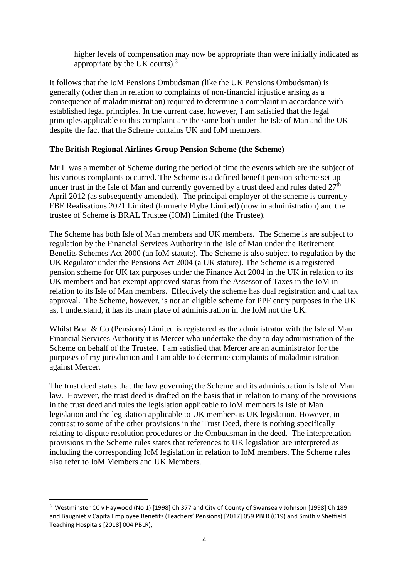higher levels of compensation may now be appropriate than were initially indicated as appropriate by the UK courts).<sup>3</sup>

It follows that the IoM Pensions Ombudsman (like the UK Pensions Ombudsman) is generally (other than in relation to complaints of non-financial injustice arising as a consequence of maladministration) required to determine a complaint in accordance with established legal principles. In the current case, however, I am satisfied that the legal principles applicable to this complaint are the same both under the Isle of Man and the UK despite the fact that the Scheme contains UK and IoM members.

### **The British Regional Airlines Group Pension Scheme (the Scheme)**

Mr L was a member of Scheme during the period of time the events which are the subject of his various complaints occurred. The Scheme is a defined benefit pension scheme set up under trust in the Isle of Man and currently governed by a trust deed and rules dated  $27<sup>th</sup>$ April 2012 (as subsequently amended). The principal employer of the scheme is currently FBE Realisations 2021 Limited (formerly Flybe Limited) (now in administration) and the trustee of Scheme is BRAL Trustee (IOM) Limited (the Trustee).

The Scheme has both Isle of Man members and UK members. The Scheme is are subject to regulation by the Financial Services Authority in the Isle of Man under the Retirement Benefits Schemes Act 2000 (an IoM statute). The Scheme is also subject to regulation by the UK Regulator under the Pensions Act 2004 (a UK statute). The Scheme is a registered pension scheme for UK tax purposes under the Finance Act 2004 in the UK in relation to its UK members and has exempt approved status from the Assessor of Taxes in the IoM in relation to its Isle of Man members. Effectively the scheme has dual registration and dual tax approval. The Scheme, however, is not an eligible scheme for PPF entry purposes in the UK as, I understand, it has its main place of administration in the IoM not the UK.

Whilst Boal & Co (Pensions) Limited is registered as the administrator with the Isle of Man Financial Services Authority it is Mercer who undertake the day to day administration of the Scheme on behalf of the Trustee. I am satisfied that Mercer are an administrator for the purposes of my jurisdiction and I am able to determine complaints of maladministration against Mercer.

The trust deed states that the law governing the Scheme and its administration is Isle of Man law. However, the trust deed is drafted on the basis that in relation to many of the provisions in the trust deed and rules the legislation applicable to IoM members is Isle of Man legislation and the legislation applicable to UK members is UK legislation. However, in contrast to some of the other provisions in the Trust Deed, there is nothing specifically relating to dispute resolution procedures or the Ombudsman in the deed. The interpretation provisions in the Scheme rules states that references to UK legislation are interpreted as including the corresponding IoM legislation in relation to IoM members. The Scheme rules also refer to IoM Members and UK Members.

**.** 

<sup>&</sup>lt;sup>3</sup> Westminster CC v Haywood (No 1) [1998] Ch 377 and City of County of Swansea v Johnson [1998] Ch 189 and Baugniet v Capita Employee Benefits (Teachers' Pensions) [2017] 059 PBLR (019) and Smith v Sheffield Teaching Hospitals [2018] 004 PBLR);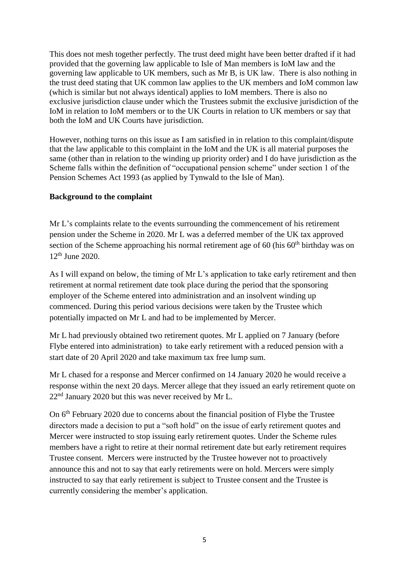This does not mesh together perfectly. The trust deed might have been better drafted if it had provided that the governing law applicable to Isle of Man members is IoM law and the governing law applicable to UK members, such as Mr B, is UK law. There is also nothing in the trust deed stating that UK common law applies to the UK members and IoM common law (which is similar but not always identical) applies to IoM members. There is also no exclusive jurisdiction clause under which the Trustees submit the exclusive jurisdiction of the IoM in relation to IoM members or to the UK Courts in relation to UK members or say that both the IoM and UK Courts have jurisdiction.

However, nothing turns on this issue as I am satisfied in in relation to this complaint/dispute that the law applicable to this complaint in the IoM and the UK is all material purposes the same (other than in relation to the winding up priority order) and I do have jurisdiction as the Scheme falls within the definition of "occupational pension scheme" under section 1 of the Pension Schemes Act 1993 (as applied by Tynwald to the Isle of Man).

### **Background to the complaint**

Mr L's complaints relate to the events surrounding the commencement of his retirement pension under the Scheme in 2020. Mr L was a deferred member of the UK tax approved section of the Scheme approaching his normal retirement age of 60 (his  $60<sup>th</sup>$  birthday was on  $12^{th}$  June 2020.

As I will expand on below, the timing of Mr L's application to take early retirement and then retirement at normal retirement date took place during the period that the sponsoring employer of the Scheme entered into administration and an insolvent winding up commenced. During this period various decisions were taken by the Trustee which potentially impacted on Mr L and had to be implemented by Mercer.

Mr L had previously obtained two retirement quotes. Mr L applied on 7 January (before Flybe entered into administration) to take early retirement with a reduced pension with a start date of 20 April 2020 and take maximum tax free lump sum.

Mr L chased for a response and Mercer confirmed on 14 January 2020 he would receive a response within the next 20 days. Mercer allege that they issued an early retirement quote on  $22<sup>nd</sup>$  January 2020 but this was never received by Mr L.

On 6<sup>th</sup> February 2020 due to concerns about the financial position of Flybe the Trustee directors made a decision to put a "soft hold" on the issue of early retirement quotes and Mercer were instructed to stop issuing early retirement quotes. Under the Scheme rules members have a right to retire at their normal retirement date but early retirement requires Trustee consent. Mercers were instructed by the Trustee however not to proactively announce this and not to say that early retirements were on hold. Mercers were simply instructed to say that early retirement is subject to Trustee consent and the Trustee is currently considering the member's application.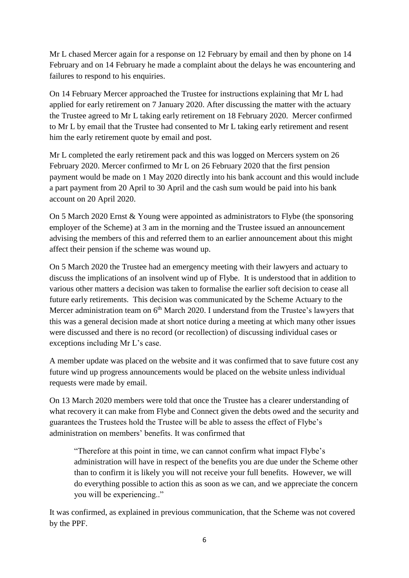Mr L chased Mercer again for a response on 12 February by email and then by phone on 14 February and on 14 February he made a complaint about the delays he was encountering and failures to respond to his enquiries.

On 14 February Mercer approached the Trustee for instructions explaining that Mr L had applied for early retirement on 7 January 2020. After discussing the matter with the actuary the Trustee agreed to Mr L taking early retirement on 18 February 2020. Mercer confirmed to Mr L by email that the Trustee had consented to Mr L taking early retirement and resent him the early retirement quote by email and post.

Mr L completed the early retirement pack and this was logged on Mercers system on 26 February 2020. Mercer confirmed to Mr L on 26 February 2020 that the first pension payment would be made on 1 May 2020 directly into his bank account and this would include a part payment from 20 April to 30 April and the cash sum would be paid into his bank account on 20 April 2020.

On 5 March 2020 Ernst & Young were appointed as administrators to Flybe (the sponsoring employer of the Scheme) at 3 am in the morning and the Trustee issued an announcement advising the members of this and referred them to an earlier announcement about this might affect their pension if the scheme was wound up.

On 5 March 2020 the Trustee had an emergency meeting with their lawyers and actuary to discuss the implications of an insolvent wind up of Flybe. It is understood that in addition to various other matters a decision was taken to formalise the earlier soft decision to cease all future early retirements. This decision was communicated by the Scheme Actuary to the Mercer administration team on  $6<sup>th</sup>$  March 2020. I understand from the Trustee's lawyers that this was a general decision made at short notice during a meeting at which many other issues were discussed and there is no record (or recollection) of discussing individual cases or exceptions including Mr L's case.

A member update was placed on the website and it was confirmed that to save future cost any future wind up progress announcements would be placed on the website unless individual requests were made by email.

On 13 March 2020 members were told that once the Trustee has a clearer understanding of what recovery it can make from Flybe and Connect given the debts owed and the security and guarantees the Trustees hold the Trustee will be able to assess the effect of Flybe's administration on members' benefits. It was confirmed that

"Therefore at this point in time, we can cannot confirm what impact Flybe's administration will have in respect of the benefits you are due under the Scheme other than to confirm it is likely you will not receive your full benefits. However, we will do everything possible to action this as soon as we can, and we appreciate the concern you will be experiencing.."

It was confirmed, as explained in previous communication, that the Scheme was not covered by the PPF.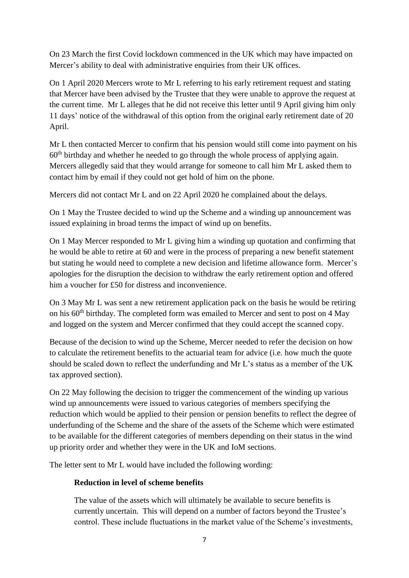On 23 March the first Covid lockdown commenced in the UK which may have impacted on Mercer's ability to deal with administrative enquiries from their UK offices.

On 1 April 2020 Mercers wrote to Mr L referring to his early retirement request and stating that Mercer have been advised by the Trustee that they were unable to approve the request at the current time. Mr L alleges that he did not receive this letter until 9 April giving him only 11 days' notice of the withdrawal of this option from the original early retirement date of 20 April.

Mr L then contacted Mercer to confirm that his pension would still come into payment on his  $60<sup>th</sup>$  birthday and whether he needed to go through the whole process of applying again. Mercers allegedly said that they would arrange for someone to call him Mr L asked them to contact him by email if they could not get hold of him on the phone.

Mercers did not contact Mr L and on 22 April 2020 he complained about the delays.

On 1 May the Trustee decided to wind up the Scheme and a winding up announcement was issued explaining in broad terms the impact of wind up on benefits.

On 1 May Mercer responded to Mr L giving him a winding up quotation and confirming that he would be able to retire at 60 and were in the process of preparing a new benefit statement but stating he would need to complete a new decision and lifetime allowance form. Mercer's apologies for the disruption the decision to withdraw the early retirement option and offered him a voucher for £50 for distress and inconvenience.

On 3 May Mr L was sent a new retirement application pack on the basis he would be retiring on his 60<sup>th</sup> birthday. The completed form was emailed to Mercer and sent to post on 4 May and logged on the system and Mercer confirmed that they could accept the scanned copy.

Because of the decision to wind up the Scheme, Mercer needed to refer the decision on how to calculate the retirement benefits to the actuarial team for advice (i.e. how much the quote should be scaled down to reflect the underfunding and Mr L's status as a member of the UK tax approved section).

On 22 May following the decision to trigger the commencement of the winding up various wind up announcements were issued to various categories of members specifying the reduction which would be applied to their pension or pension benefits to reflect the degree of underfunding of the Scheme and the share of the assets of the Scheme which were estimated to be available for the different categories of members depending on their status in the wind up priority order and whether they were in the UK and IoM sections.

The letter sent to Mr L would have included the following wording:

### **Reduction in level of scheme benefits**

The value of the assets which will ultimately be available to secure benefits is currently uncertain. This will depend on a number of factors beyond the Trustee's control. These include fluctuations in the market value of the Scheme's investments,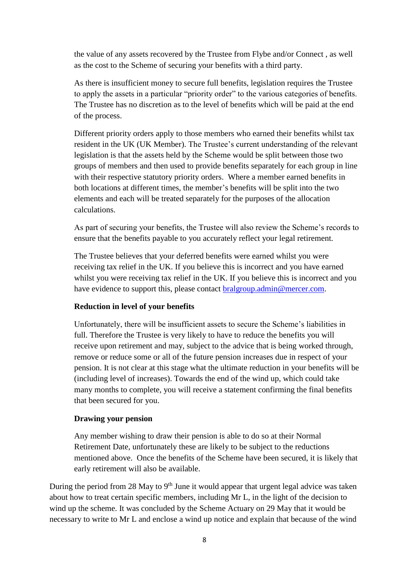the value of any assets recovered by the Trustee from Flybe and/or Connect , as well as the cost to the Scheme of securing your benefits with a third party.

As there is insufficient money to secure full benefits, legislation requires the Trustee to apply the assets in a particular "priority order" to the various categories of benefits. The Trustee has no discretion as to the level of benefits which will be paid at the end of the process.

Different priority orders apply to those members who earned their benefits whilst tax resident in the UK (UK Member). The Trustee's current understanding of the relevant legislation is that the assets held by the Scheme would be split between those two groups of members and then used to provide benefits separately for each group in line with their respective statutory priority orders. Where a member earned benefits in both locations at different times, the member's benefits will be split into the two elements and each will be treated separately for the purposes of the allocation calculations.

As part of securing your benefits, the Trustee will also review the Scheme's records to ensure that the benefits payable to you accurately reflect your legal retirement.

The Trustee believes that your deferred benefits were earned whilst you were receiving tax relief in the UK. If you believe this is incorrect and you have earned whilst you were receiving tax relief in the UK. If you believe this is incorrect and you have evidence to support this, please contact [bralgroup.admin@mercer.com.](mailto:bralgroup.admin@mercer.com)

#### **Reduction in level of your benefits**

Unfortunately, there will be insufficient assets to secure the Scheme's liabilities in full. Therefore the Trustee is very likely to have to reduce the benefits you will receive upon retirement and may, subject to the advice that is being worked through, remove or reduce some or all of the future pension increases due in respect of your pension. It is not clear at this stage what the ultimate reduction in your benefits will be (including level of increases). Towards the end of the wind up, which could take many months to complete, you will receive a statement confirming the final benefits that been secured for you.

#### **Drawing your pension**

Any member wishing to draw their pension is able to do so at their Normal Retirement Date, unfortunately these are likely to be subject to the reductions mentioned above. Once the benefits of the Scheme have been secured, it is likely that early retirement will also be available.

During the period from 28 May to  $9<sup>th</sup>$  June it would appear that urgent legal advice was taken about how to treat certain specific members, including Mr L, in the light of the decision to wind up the scheme. It was concluded by the Scheme Actuary on 29 May that it would be necessary to write to Mr L and enclose a wind up notice and explain that because of the wind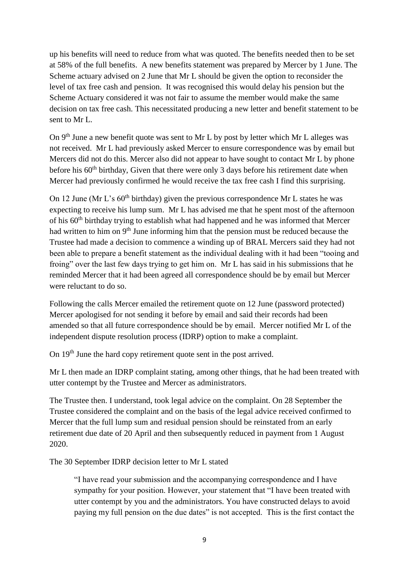up his benefits will need to reduce from what was quoted. The benefits needed then to be set at 58% of the full benefits. A new benefits statement was prepared by Mercer by 1 June. The Scheme actuary advised on 2 June that Mr L should be given the option to reconsider the level of tax free cash and pension. It was recognised this would delay his pension but the Scheme Actuary considered it was not fair to assume the member would make the same decision on tax free cash. This necessitated producing a new letter and benefit statement to be sent to Mr L.

On  $9<sup>th</sup>$  June a new benefit quote was sent to Mr L by post by letter which Mr L alleges was not received. Mr L had previously asked Mercer to ensure correspondence was by email but Mercers did not do this. Mercer also did not appear to have sought to contact Mr L by phone before his  $60<sup>th</sup>$  birthday, Given that there were only 3 days before his retirement date when Mercer had previously confirmed he would receive the tax free cash I find this surprising.

On 12 June (Mr L's  $60<sup>th</sup>$  birthday) given the previous correspondence Mr L states he was expecting to receive his lump sum. Mr L has advised me that he spent most of the afternoon of his 60<sup>th</sup> birthday trying to establish what had happened and he was informed that Mercer had written to him on 9<sup>th</sup> June informing him that the pension must be reduced because the Trustee had made a decision to commence a winding up of BRAL Mercers said they had not been able to prepare a benefit statement as the individual dealing with it had been "tooing and froing" over the last few days trying to get him on. Mr L has said in his submissions that he reminded Mercer that it had been agreed all correspondence should be by email but Mercer were reluctant to do so.

Following the calls Mercer emailed the retirement quote on 12 June (password protected) Mercer apologised for not sending it before by email and said their records had been amended so that all future correspondence should be by email. Mercer notified Mr L of the independent dispute resolution process (IDRP) option to make a complaint.

On 19<sup>th</sup> June the hard copy retirement quote sent in the post arrived.

Mr L then made an IDRP complaint stating, among other things, that he had been treated with utter contempt by the Trustee and Mercer as administrators.

The Trustee then. I understand, took legal advice on the complaint. On 28 September the Trustee considered the complaint and on the basis of the legal advice received confirmed to Mercer that the full lump sum and residual pension should be reinstated from an early retirement due date of 20 April and then subsequently reduced in payment from 1 August 2020.

The 30 September IDRP decision letter to Mr L stated

"I have read your submission and the accompanying correspondence and I have sympathy for your position. However, your statement that "I have been treated with utter contempt by you and the administrators. You have constructed delays to avoid paying my full pension on the due dates" is not accepted. This is the first contact the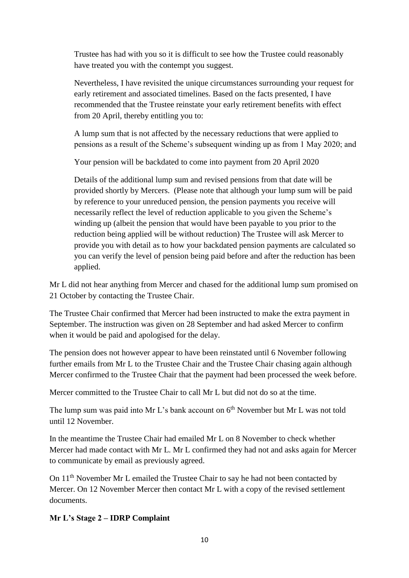Trustee has had with you so it is difficult to see how the Trustee could reasonably have treated you with the contempt you suggest.

Nevertheless, I have revisited the unique circumstances surrounding your request for early retirement and associated timelines. Based on the facts presented, I have recommended that the Trustee reinstate your early retirement benefits with effect from 20 April, thereby entitling you to:

A lump sum that is not affected by the necessary reductions that were applied to pensions as a result of the Scheme's subsequent winding up as from 1 May 2020; and

Your pension will be backdated to come into payment from 20 April 2020

Details of the additional lump sum and revised pensions from that date will be provided shortly by Mercers. (Please note that although your lump sum will be paid by reference to your unreduced pension, the pension payments you receive will necessarily reflect the level of reduction applicable to you given the Scheme's winding up (albeit the pension that would have been payable to you prior to the reduction being applied will be without reduction) The Trustee will ask Mercer to provide you with detail as to how your backdated pension payments are calculated so you can verify the level of pension being paid before and after the reduction has been applied.

Mr L did not hear anything from Mercer and chased for the additional lump sum promised on 21 October by contacting the Trustee Chair.

The Trustee Chair confirmed that Mercer had been instructed to make the extra payment in September. The instruction was given on 28 September and had asked Mercer to confirm when it would be paid and apologised for the delay.

The pension does not however appear to have been reinstated until 6 November following further emails from Mr L to the Trustee Chair and the Trustee Chair chasing again although Mercer confirmed to the Trustee Chair that the payment had been processed the week before.

Mercer committed to the Trustee Chair to call Mr L but did not do so at the time.

The lump sum was paid into Mr L's bank account on  $6<sup>th</sup>$  November but Mr L was not told until 12 November.

In the meantime the Trustee Chair had emailed Mr L on 8 November to check whether Mercer had made contact with Mr L. Mr L confirmed they had not and asks again for Mercer to communicate by email as previously agreed.

On 11<sup>th</sup> November Mr L emailed the Trustee Chair to say he had not been contacted by Mercer. On 12 November Mercer then contact Mr L with a copy of the revised settlement documents.

# **Mr L's Stage 2 – IDRP Complaint**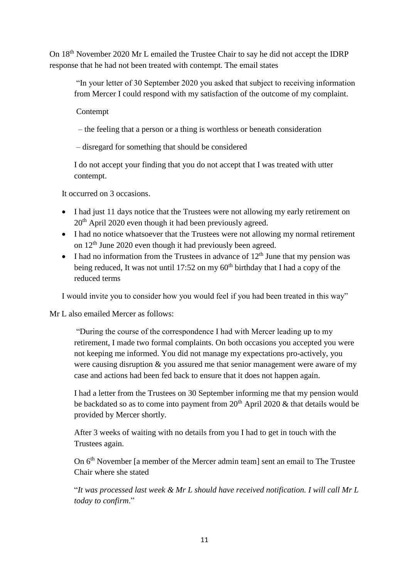On 18th November 2020 Mr L emailed the Trustee Chair to say he did not accept the IDRP response that he had not been treated with contempt. The email states

"In your letter of 30 September 2020 you asked that subject to receiving information from Mercer I could respond with my satisfaction of the outcome of my complaint.

Contempt

– the feeling that a person or a thing is worthless or beneath consideration

– disregard for something that should be considered

I do not accept your finding that you do not accept that I was treated with utter contempt.

It occurred on 3 occasions.

- I had just 11 days notice that the Trustees were not allowing my early retirement on 20th April 2020 even though it had been previously agreed.
- I had no notice whatsoever that the Trustees were not allowing my normal retirement on  $12<sup>th</sup>$  June 2020 even though it had previously been agreed.
- I had no information from the Trustees in advance of  $12<sup>th</sup>$  June that my pension was being reduced, It was not until 17:52 on my  $60<sup>th</sup>$  birthday that I had a copy of the reduced terms

I would invite you to consider how you would feel if you had been treated in this way"

### Mr L also emailed Mercer as follows:

"During the course of the correspondence I had with Mercer leading up to my retirement, I made two formal complaints. On both occasions you accepted you were not keeping me informed. You did not manage my expectations pro-actively, you were causing disruption  $\&$  you assured me that senior management were aware of my case and actions had been fed back to ensure that it does not happen again.

I had a letter from the Trustees on 30 September informing me that my pension would be backdated so as to come into payment from  $20<sup>th</sup>$  April 2020 & that details would be provided by Mercer shortly.

After 3 weeks of waiting with no details from you I had to get in touch with the Trustees again.

On 6th November [a member of the Mercer admin team] sent an email to The Trustee Chair where she stated

"*It was processed last week & Mr L should have received notification. I will call Mr L today to confirm*."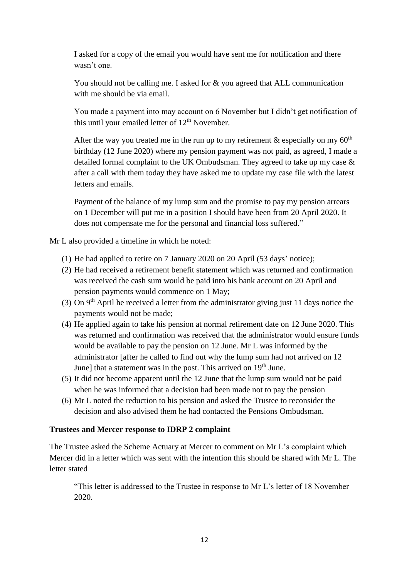I asked for a copy of the email you would have sent me for notification and there wasn't one.

You should not be calling me. I asked for & you agreed that ALL communication with me should be via email.

You made a payment into may account on 6 November but I didn't get notification of this until your emailed letter of  $12<sup>th</sup>$  November.

After the way you treated me in the run up to my retirement  $\&$  especially on my 60<sup>th</sup> birthday (12 June 2020) where my pension payment was not paid, as agreed, I made a detailed formal complaint to the UK Ombudsman. They agreed to take up my case & after a call with them today they have asked me to update my case file with the latest letters and emails.

Payment of the balance of my lump sum and the promise to pay my pension arrears on 1 December will put me in a position I should have been from 20 April 2020. It does not compensate me for the personal and financial loss suffered."

Mr L also provided a timeline in which he noted:

- (1) He had applied to retire on 7 January 2020 on 20 April (53 days' notice);
- (2) He had received a retirement benefit statement which was returned and confirmation was received the cash sum would be paid into his bank account on 20 April and pension payments would commence on 1 May;
- (3) On  $9<sup>th</sup>$  April he received a letter from the administrator giving just 11 days notice the payments would not be made;
- (4) He applied again to take his pension at normal retirement date on 12 June 2020. This was returned and confirmation was received that the administrator would ensure funds would be available to pay the pension on 12 June. Mr L was informed by the administrator [after he called to find out why the lump sum had not arrived on 12 June] that a statement was in the post. This arrived on 19<sup>th</sup> June.
- (5) It did not become apparent until the 12 June that the lump sum would not be paid when he was informed that a decision had been made not to pay the pension
- (6) Mr L noted the reduction to his pension and asked the Trustee to reconsider the decision and also advised them he had contacted the Pensions Ombudsman.

### **Trustees and Mercer response to IDRP 2 complaint**

The Trustee asked the Scheme Actuary at Mercer to comment on Mr L's complaint which Mercer did in a letter which was sent with the intention this should be shared with Mr L. The letter stated

"This letter is addressed to the Trustee in response to Mr L's letter of 18 November 2020.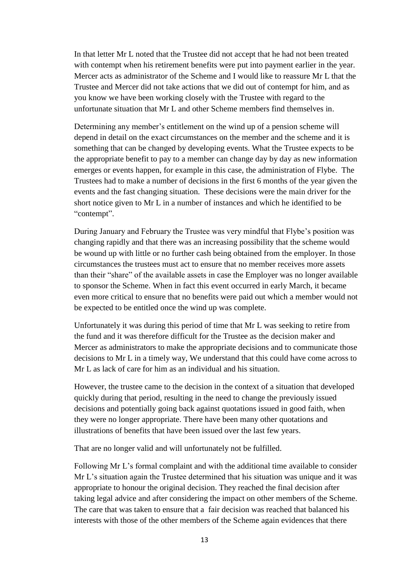In that letter Mr L noted that the Trustee did not accept that he had not been treated with contempt when his retirement benefits were put into payment earlier in the year. Mercer acts as administrator of the Scheme and I would like to reassure Mr L that the Trustee and Mercer did not take actions that we did out of contempt for him, and as you know we have been working closely with the Trustee with regard to the unfortunate situation that Mr L and other Scheme members find themselves in.

Determining any member's entitlement on the wind up of a pension scheme will depend in detail on the exact circumstances on the member and the scheme and it is something that can be changed by developing events. What the Trustee expects to be the appropriate benefit to pay to a member can change day by day as new information emerges or events happen, for example in this case, the administration of Flybe. The Trustees had to make a number of decisions in the first 6 months of the year given the events and the fast changing situation. These decisions were the main driver for the short notice given to Mr L in a number of instances and which he identified to be "contempt".

During January and February the Trustee was very mindful that Flybe's position was changing rapidly and that there was an increasing possibility that the scheme would be wound up with little or no further cash being obtained from the employer. In those circumstances the trustees must act to ensure that no member receives more assets than their "share" of the available assets in case the Employer was no longer available to sponsor the Scheme. When in fact this event occurred in early March, it became even more critical to ensure that no benefits were paid out which a member would not be expected to be entitled once the wind up was complete.

Unfortunately it was during this period of time that Mr L was seeking to retire from the fund and it was therefore difficult for the Trustee as the decision maker and Mercer as administrators to make the appropriate decisions and to communicate those decisions to Mr L in a timely way, We understand that this could have come across to Mr L as lack of care for him as an individual and his situation.

However, the trustee came to the decision in the context of a situation that developed quickly during that period, resulting in the need to change the previously issued decisions and potentially going back against quotations issued in good faith, when they were no longer appropriate. There have been many other quotations and illustrations of benefits that have been issued over the last few years.

That are no longer valid and will unfortunately not be fulfilled.

Following Mr L's formal complaint and with the additional time available to consider Mr L's situation again the Trustee determined that his situation was unique and it was appropriate to honour the original decision. They reached the final decision after taking legal advice and after considering the impact on other members of the Scheme. The care that was taken to ensure that a fair decision was reached that balanced his interests with those of the other members of the Scheme again evidences that there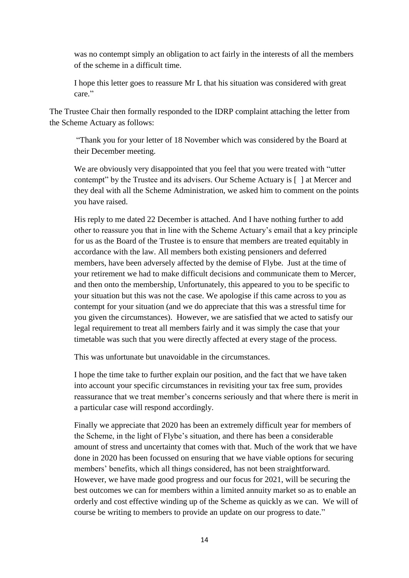was no contempt simply an obligation to act fairly in the interests of all the members of the scheme in a difficult time.

I hope this letter goes to reassure Mr L that his situation was considered with great care."

The Trustee Chair then formally responded to the IDRP complaint attaching the letter from the Scheme Actuary as follows:

"Thank you for your letter of 18 November which was considered by the Board at their December meeting.

We are obviously very disappointed that you feel that you were treated with "utter contempt" by the Trustee and its advisers. Our Scheme Actuary is [ ] at Mercer and they deal with all the Scheme Administration, we asked him to comment on the points you have raised.

His reply to me dated 22 December is attached. And I have nothing further to add other to reassure you that in line with the Scheme Actuary's email that a key principle for us as the Board of the Trustee is to ensure that members are treated equitably in accordance with the law. All members both existing pensioners and deferred members, have been adversely affected by the demise of Flybe. Just at the time of your retirement we had to make difficult decisions and communicate them to Mercer, and then onto the membership, Unfortunately, this appeared to you to be specific to your situation but this was not the case. We apologise if this came across to you as contempt for your situation (and we do appreciate that this was a stressful time for you given the circumstances). However, we are satisfied that we acted to satisfy our legal requirement to treat all members fairly and it was simply the case that your timetable was such that you were directly affected at every stage of the process.

This was unfortunate but unavoidable in the circumstances.

I hope the time take to further explain our position, and the fact that we have taken into account your specific circumstances in revisiting your tax free sum, provides reassurance that we treat member's concerns seriously and that where there is merit in a particular case will respond accordingly.

Finally we appreciate that 2020 has been an extremely difficult year for members of the Scheme, in the light of Flybe's situation, and there has been a considerable amount of stress and uncertainty that comes with that. Much of the work that we have done in 2020 has been focussed on ensuring that we have viable options for securing members' benefits, which all things considered, has not been straightforward. However, we have made good progress and our focus for 2021, will be securing the best outcomes we can for members within a limited annuity market so as to enable an orderly and cost effective winding up of the Scheme as quickly as we can. We will of course be writing to members to provide an update on our progress to date."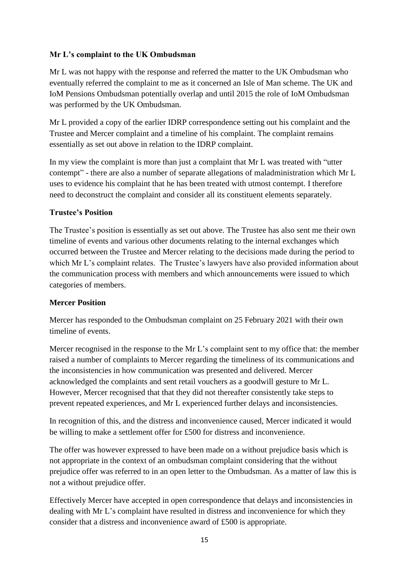## **Mr L's complaint to the UK Ombudsman**

Mr L was not happy with the response and referred the matter to the UK Ombudsman who eventually referred the complaint to me as it concerned an Isle of Man scheme. The UK and IoM Pensions Ombudsman potentially overlap and until 2015 the role of IoM Ombudsman was performed by the UK Ombudsman.

Mr L provided a copy of the earlier IDRP correspondence setting out his complaint and the Trustee and Mercer complaint and a timeline of his complaint. The complaint remains essentially as set out above in relation to the IDRP complaint.

In my view the complaint is more than just a complaint that Mr L was treated with "utter contempt" - there are also a number of separate allegations of maladministration which Mr L uses to evidence his complaint that he has been treated with utmost contempt. I therefore need to deconstruct the complaint and consider all its constituent elements separately.

## **Trustee's Position**

The Trustee's position is essentially as set out above. The Trustee has also sent me their own timeline of events and various other documents relating to the internal exchanges which occurred between the Trustee and Mercer relating to the decisions made during the period to which Mr L's complaint relates. The Trustee's lawyers have also provided information about the communication process with members and which announcements were issued to which categories of members.

### **Mercer Position**

Mercer has responded to the Ombudsman complaint on 25 February 2021 with their own timeline of events.

Mercer recognised in the response to the Mr L's complaint sent to my office that: the member raised a number of complaints to Mercer regarding the timeliness of its communications and the inconsistencies in how communication was presented and delivered. Mercer acknowledged the complaints and sent retail vouchers as a goodwill gesture to Mr L. However, Mercer recognised that that they did not thereafter consistently take steps to prevent repeated experiences, and Mr L experienced further delays and inconsistencies.

In recognition of this, and the distress and inconvenience caused, Mercer indicated it would be willing to make a settlement offer for £500 for distress and inconvenience.

The offer was however expressed to have been made on a without prejudice basis which is not appropriate in the context of an ombudsman complaint considering that the without prejudice offer was referred to in an open letter to the Ombudsman. As a matter of law this is not a without prejudice offer.

Effectively Mercer have accepted in open correspondence that delays and inconsistencies in dealing with Mr L's complaint have resulted in distress and inconvenience for which they consider that a distress and inconvenience award of £500 is appropriate.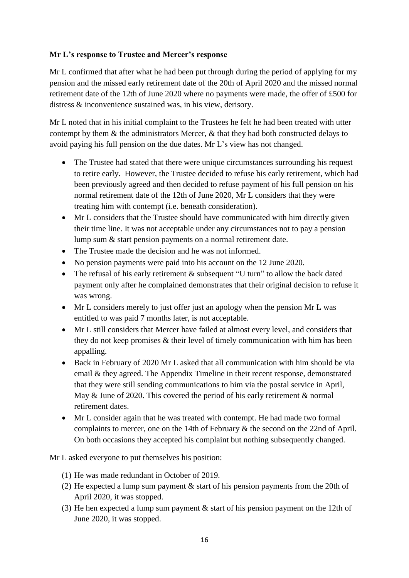# **Mr L's response to Trustee and Mercer's response**

Mr L confirmed that after what he had been put through during the period of applying for my pension and the missed early retirement date of the 20th of April 2020 and the missed normal retirement date of the 12th of June 2020 where no payments were made, the offer of £500 for distress & inconvenience sustained was, in his view, derisory.

Mr L noted that in his initial complaint to the Trustees he felt he had been treated with utter contempt by them & the administrators Mercer, & that they had both constructed delays to avoid paying his full pension on the due dates. Mr L's view has not changed.

- The Trustee had stated that there were unique circumstances surrounding his request to retire early. However, the Trustee decided to refuse his early retirement, which had been previously agreed and then decided to refuse payment of his full pension on his normal retirement date of the 12th of June 2020, Mr L considers that they were treating him with contempt (i.e. beneath consideration).
- Mr L considers that the Trustee should have communicated with him directly given their time line. It was not acceptable under any circumstances not to pay a pension lump sum & start pension payments on a normal retirement date.
- The Trustee made the decision and he was not informed.
- No pension payments were paid into his account on the 12 June 2020.
- The refusal of his early retirement & subsequent "U turn" to allow the back dated payment only after he complained demonstrates that their original decision to refuse it was wrong.
- Mr L considers merely to just offer just an apology when the pension Mr L was entitled to was paid 7 months later, is not acceptable.
- Mr L still considers that Mercer have failed at almost every level, and considers that they do not keep promises & their level of timely communication with him has been appalling.
- Back in February of 2020 Mr L asked that all communication with him should be via email & they agreed. The Appendix Timeline in their recent response, demonstrated that they were still sending communications to him via the postal service in April, May & June of 2020. This covered the period of his early retirement & normal retirement dates.
- Mr L consider again that he was treated with contempt. He had made two formal complaints to mercer, one on the 14th of February & the second on the 22nd of April. On both occasions they accepted his complaint but nothing subsequently changed.

Mr L asked everyone to put themselves his position:

- (1) He was made redundant in October of 2019.
- (2) He expected a lump sum payment & start of his pension payments from the 20th of April 2020, it was stopped.
- (3) He hen expected a lump sum payment & start of his pension payment on the 12th of June 2020, it was stopped.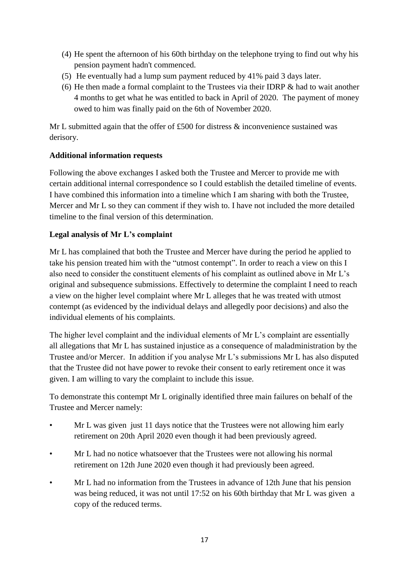- (4) He spent the afternoon of his 60th birthday on the telephone trying to find out why his pension payment hadn't commenced.
- (5) He eventually had a lump sum payment reduced by 41% paid 3 days later.
- (6) He then made a formal complaint to the Trustees via their IDRP & had to wait another 4 months to get what he was entitled to back in April of 2020. The payment of money owed to him was finally paid on the 6th of November 2020.

Mr L submitted again that the offer of £500 for distress  $\&$  inconvenience sustained was derisory.

## **Additional information requests**

Following the above exchanges I asked both the Trustee and Mercer to provide me with certain additional internal correspondence so I could establish the detailed timeline of events. I have combined this information into a timeline which I am sharing with both the Trustee, Mercer and Mr L so they can comment if they wish to. I have not included the more detailed timeline to the final version of this determination.

### **Legal analysis of Mr L's complaint**

Mr L has complained that both the Trustee and Mercer have during the period he applied to take his pension treated him with the "utmost contempt". In order to reach a view on this I also need to consider the constituent elements of his complaint as outlined above in Mr L's original and subsequence submissions. Effectively to determine the complaint I need to reach a view on the higher level complaint where Mr L alleges that he was treated with utmost contempt (as evidenced by the individual delays and allegedly poor decisions) and also the individual elements of his complaints.

The higher level complaint and the individual elements of Mr L's complaint are essentially all allegations that Mr L has sustained injustice as a consequence of maladministration by the Trustee and/or Mercer. In addition if you analyse Mr L's submissions Mr L has also disputed that the Trustee did not have power to revoke their consent to early retirement once it was given. I am willing to vary the complaint to include this issue.

To demonstrate this contempt Mr L originally identified three main failures on behalf of the Trustee and Mercer namely:

- Mr L was given just 11 days notice that the Trustees were not allowing him early retirement on 20th April 2020 even though it had been previously agreed.
- Mr L had no notice whatsoever that the Trustees were not allowing his normal retirement on 12th June 2020 even though it had previously been agreed.
- Mr L had no information from the Trustees in advance of 12th June that his pension was being reduced, it was not until 17:52 on his 60th birthday that Mr L was given a copy of the reduced terms.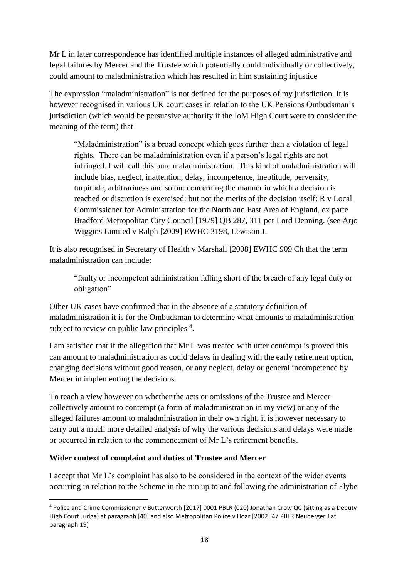Mr L in later correspondence has identified multiple instances of alleged administrative and legal failures by Mercer and the Trustee which potentially could individually or collectively, could amount to maladministration which has resulted in him sustaining injustice

The expression "maladministration" is not defined for the purposes of my jurisdiction. It is however recognised in various UK court cases in relation to the UK Pensions Ombudsman's jurisdiction (which would be persuasive authority if the IoM High Court were to consider the meaning of the term) that

"Maladministration" is a broad concept which goes further than a violation of legal rights. There can be maladministration even if a person's legal rights are not infringed. I will call this pure maladministration. This kind of maladministration will include bias, neglect, inattention, delay, incompetence, ineptitude, perversity, turpitude, arbitrariness and so on: concerning the manner in which a decision is reached or discretion is exercised: but not the merits of the decision itself: R v Local Commissioner for Administration for the North and East Area of England, ex parte Bradford Metropolitan City Council [1979] QB 287, 311 per Lord Denning. (see Arjo Wiggins Limited v Ralph [2009] EWHC 3198, Lewison J.

It is also recognised in Secretary of Health v Marshall [2008] EWHC 909 Ch that the term maladministration can include:

"faulty or incompetent administration falling short of the breach of any legal duty or obligation"

Other UK cases have confirmed that in the absence of a statutory definition of maladministration it is for the Ombudsman to determine what amounts to maladministration subject to review on public law principles <sup>4</sup>.

I am satisfied that if the allegation that Mr L was treated with utter contempt is proved this can amount to maladministration as could delays in dealing with the early retirement option, changing decisions without good reason, or any neglect, delay or general incompetence by Mercer in implementing the decisions.

To reach a view however on whether the acts or omissions of the Trustee and Mercer collectively amount to contempt (a form of maladministration in my view) or any of the alleged failures amount to maladministration in their own right, it is however necessary to carry out a much more detailed analysis of why the various decisions and delays were made or occurred in relation to the commencement of Mr L's retirement benefits.

### **Wider context of complaint and duties of Trustee and Mercer**

I accept that Mr L's complaint has also to be considered in the context of the wider events occurring in relation to the Scheme in the run up to and following the administration of Flybe

**<sup>.</sup>** <sup>4</sup> Police and Crime Commissioner v Butterworth [2017] 0001 PBLR (020) Jonathan Crow QC (sitting as a Deputy High Court Judge) at paragraph [40] and also Metropolitan Police v Hoar [2002] 47 PBLR Neuberger J at paragraph 19)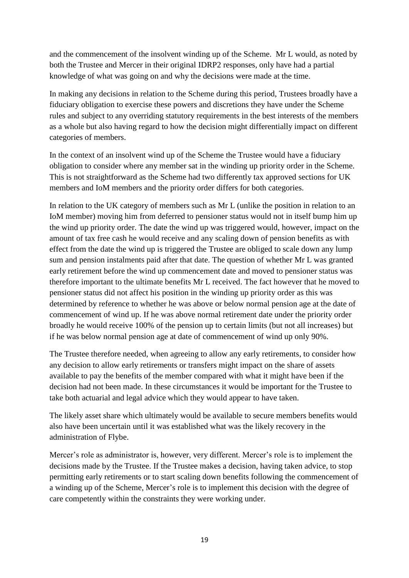and the commencement of the insolvent winding up of the Scheme. Mr L would, as noted by both the Trustee and Mercer in their original IDRP2 responses, only have had a partial knowledge of what was going on and why the decisions were made at the time.

In making any decisions in relation to the Scheme during this period, Trustees broadly have a fiduciary obligation to exercise these powers and discretions they have under the Scheme rules and subject to any overriding statutory requirements in the best interests of the members as a whole but also having regard to how the decision might differentially impact on different categories of members.

In the context of an insolvent wind up of the Scheme the Trustee would have a fiduciary obligation to consider where any member sat in the winding up priority order in the Scheme. This is not straightforward as the Scheme had two differently tax approved sections for UK members and IoM members and the priority order differs for both categories.

In relation to the UK category of members such as Mr L (unlike the position in relation to an IoM member) moving him from deferred to pensioner status would not in itself bump him up the wind up priority order. The date the wind up was triggered would, however, impact on the amount of tax free cash he would receive and any scaling down of pension benefits as with effect from the date the wind up is triggered the Trustee are obliged to scale down any lump sum and pension instalments paid after that date. The question of whether Mr L was granted early retirement before the wind up commencement date and moved to pensioner status was therefore important to the ultimate benefits Mr L received. The fact however that he moved to pensioner status did not affect his position in the winding up priority order as this was determined by reference to whether he was above or below normal pension age at the date of commencement of wind up. If he was above normal retirement date under the priority order broadly he would receive 100% of the pension up to certain limits (but not all increases) but if he was below normal pension age at date of commencement of wind up only 90%.

The Trustee therefore needed, when agreeing to allow any early retirements, to consider how any decision to allow early retirements or transfers might impact on the share of assets available to pay the benefits of the member compared with what it might have been if the decision had not been made. In these circumstances it would be important for the Trustee to take both actuarial and legal advice which they would appear to have taken.

The likely asset share which ultimately would be available to secure members benefits would also have been uncertain until it was established what was the likely recovery in the administration of Flybe.

Mercer's role as administrator is, however, very different. Mercer's role is to implement the decisions made by the Trustee. If the Trustee makes a decision, having taken advice, to stop permitting early retirements or to start scaling down benefits following the commencement of a winding up of the Scheme, Mercer's role is to implement this decision with the degree of care competently within the constraints they were working under.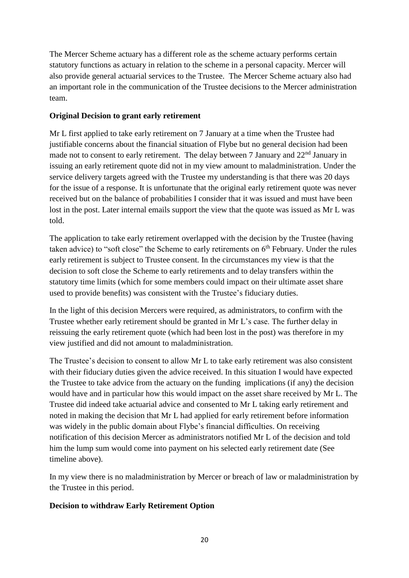The Mercer Scheme actuary has a different role as the scheme actuary performs certain statutory functions as actuary in relation to the scheme in a personal capacity. Mercer will also provide general actuarial services to the Trustee. The Mercer Scheme actuary also had an important role in the communication of the Trustee decisions to the Mercer administration team.

### **Original Decision to grant early retirement**

Mr L first applied to take early retirement on 7 January at a time when the Trustee had justifiable concerns about the financial situation of Flybe but no general decision had been made not to consent to early retirement. The delay between 7 January and 22<sup>nd</sup> January in issuing an early retirement quote did not in my view amount to maladministration. Under the service delivery targets agreed with the Trustee my understanding is that there was 20 days for the issue of a response. It is unfortunate that the original early retirement quote was never received but on the balance of probabilities I consider that it was issued and must have been lost in the post. Later internal emails support the view that the quote was issued as Mr L was told.

The application to take early retirement overlapped with the decision by the Trustee (having taken advice) to "soft close" the Scheme to early retirements on  $6<sup>th</sup>$  February. Under the rules early retirement is subject to Trustee consent. In the circumstances my view is that the decision to soft close the Scheme to early retirements and to delay transfers within the statutory time limits (which for some members could impact on their ultimate asset share used to provide benefits) was consistent with the Trustee's fiduciary duties.

In the light of this decision Mercers were required, as administrators, to confirm with the Trustee whether early retirement should be granted in Mr L's case. The further delay in reissuing the early retirement quote (which had been lost in the post) was therefore in my view justified and did not amount to maladministration.

The Trustee's decision to consent to allow Mr L to take early retirement was also consistent with their fiduciary duties given the advice received. In this situation I would have expected the Trustee to take advice from the actuary on the funding implications (if any) the decision would have and in particular how this would impact on the asset share received by Mr L. The Trustee did indeed take actuarial advice and consented to Mr L taking early retirement and noted in making the decision that Mr L had applied for early retirement before information was widely in the public domain about Flybe's financial difficulties. On receiving notification of this decision Mercer as administrators notified Mr L of the decision and told him the lump sum would come into payment on his selected early retirement date (See timeline above).

In my view there is no maladministration by Mercer or breach of law or maladministration by the Trustee in this period.

### **Decision to withdraw Early Retirement Option**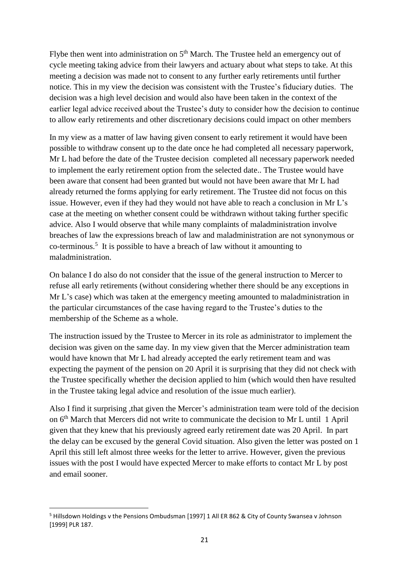Flybe then went into administration on  $5<sup>th</sup>$  March. The Trustee held an emergency out of cycle meeting taking advice from their lawyers and actuary about what steps to take. At this meeting a decision was made not to consent to any further early retirements until further notice. This in my view the decision was consistent with the Trustee's fiduciary duties. The decision was a high level decision and would also have been taken in the context of the earlier legal advice received about the Trustee's duty to consider how the decision to continue to allow early retirements and other discretionary decisions could impact on other members

In my view as a matter of law having given consent to early retirement it would have been possible to withdraw consent up to the date once he had completed all necessary paperwork, Mr L had before the date of the Trustee decision completed all necessary paperwork needed to implement the early retirement option from the selected date.. The Trustee would have been aware that consent had been granted but would not have been aware that Mr L had already returned the forms applying for early retirement. The Trustee did not focus on this issue. However, even if they had they would not have able to reach a conclusion in Mr L's case at the meeting on whether consent could be withdrawn without taking further specific advice. Also I would observe that while many complaints of maladministration involve breaches of law the expressions breach of law and maladministration are not synonymous or  $\rm co-terminous.$ <sup>5</sup> It is possible to have a breach of law without it amounting to maladministration.

On balance I do also do not consider that the issue of the general instruction to Mercer to refuse all early retirements (without considering whether there should be any exceptions in Mr L's case) which was taken at the emergency meeting amounted to maladministration in the particular circumstances of the case having regard to the Trustee's duties to the membership of the Scheme as a whole.

The instruction issued by the Trustee to Mercer in its role as administrator to implement the decision was given on the same day. In my view given that the Mercer administration team would have known that Mr L had already accepted the early retirement team and was expecting the payment of the pension on 20 April it is surprising that they did not check with the Trustee specifically whether the decision applied to him (which would then have resulted in the Trustee taking legal advice and resolution of the issue much earlier).

Also I find it surprising ,that given the Mercer's administration team were told of the decision on 6<sup>th</sup> March that Mercers did not write to communicate the decision to Mr L until 1 April given that they knew that his previously agreed early retirement date was 20 April. In part the delay can be excused by the general Covid situation. Also given the letter was posted on 1 April this still left almost three weeks for the letter to arrive. However, given the previous issues with the post I would have expected Mercer to make efforts to contact Mr L by post and email sooner.

 $\overline{\phantom{a}}$ <sup>5</sup> Hillsdown Holdings v the Pensions Ombudsman [1997] 1 All ER 862 & City of County Swansea v Johnson [1999] PLR 187.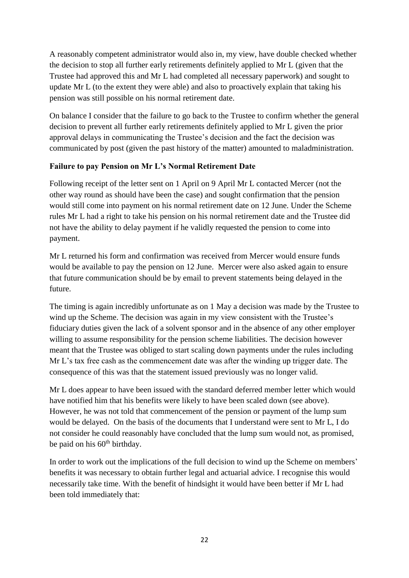A reasonably competent administrator would also in, my view, have double checked whether the decision to stop all further early retirements definitely applied to Mr L (given that the Trustee had approved this and Mr L had completed all necessary paperwork) and sought to update Mr L (to the extent they were able) and also to proactively explain that taking his pension was still possible on his normal retirement date.

On balance I consider that the failure to go back to the Trustee to confirm whether the general decision to prevent all further early retirements definitely applied to Mr L given the prior approval delays in communicating the Trustee's decision and the fact the decision was communicated by post (given the past history of the matter) amounted to maladministration.

## **Failure to pay Pension on Mr L's Normal Retirement Date**

Following receipt of the letter sent on 1 April on 9 April Mr L contacted Mercer (not the other way round as should have been the case) and sought confirmation that the pension would still come into payment on his normal retirement date on 12 June. Under the Scheme rules Mr L had a right to take his pension on his normal retirement date and the Trustee did not have the ability to delay payment if he validly requested the pension to come into payment.

Mr L returned his form and confirmation was received from Mercer would ensure funds would be available to pay the pension on 12 June. Mercer were also asked again to ensure that future communication should be by email to prevent statements being delayed in the future.

The timing is again incredibly unfortunate as on 1 May a decision was made by the Trustee to wind up the Scheme. The decision was again in my view consistent with the Trustee's fiduciary duties given the lack of a solvent sponsor and in the absence of any other employer willing to assume responsibility for the pension scheme liabilities. The decision however meant that the Trustee was obliged to start scaling down payments under the rules including Mr L's tax free cash as the commencement date was after the winding up trigger date. The consequence of this was that the statement issued previously was no longer valid.

Mr L does appear to have been issued with the standard deferred member letter which would have notified him that his benefits were likely to have been scaled down (see above). However, he was not told that commencement of the pension or payment of the lump sum would be delayed. On the basis of the documents that I understand were sent to Mr L, I do not consider he could reasonably have concluded that the lump sum would not, as promised, be paid on his  $60<sup>th</sup>$  birthday.

In order to work out the implications of the full decision to wind up the Scheme on members' benefits it was necessary to obtain further legal and actuarial advice. I recognise this would necessarily take time. With the benefit of hindsight it would have been better if Mr L had been told immediately that: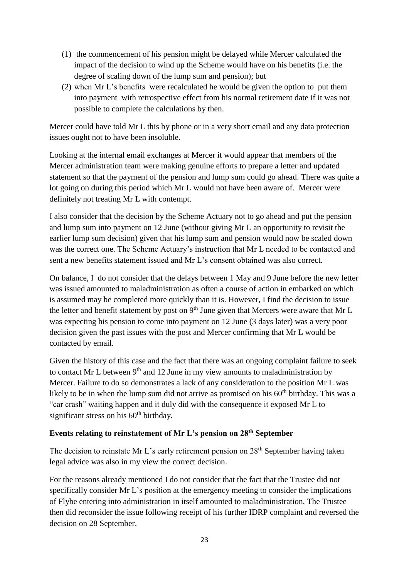- (1) the commencement of his pension might be delayed while Mercer calculated the impact of the decision to wind up the Scheme would have on his benefits (i.e. the degree of scaling down of the lump sum and pension); but
- (2) when Mr L's benefits were recalculated he would be given the option to put them into payment with retrospective effect from his normal retirement date if it was not possible to complete the calculations by then.

Mercer could have told Mr L this by phone or in a very short email and any data protection issues ought not to have been insoluble.

Looking at the internal email exchanges at Mercer it would appear that members of the Mercer administration team were making genuine efforts to prepare a letter and updated statement so that the payment of the pension and lump sum could go ahead. There was quite a lot going on during this period which Mr L would not have been aware of. Mercer were definitely not treating Mr L with contempt.

I also consider that the decision by the Scheme Actuary not to go ahead and put the pension and lump sum into payment on 12 June (without giving Mr L an opportunity to revisit the earlier lump sum decision) given that his lump sum and pension would now be scaled down was the correct one. The Scheme Actuary's instruction that Mr L needed to be contacted and sent a new benefits statement issued and Mr L's consent obtained was also correct.

On balance, I do not consider that the delays between 1 May and 9 June before the new letter was issued amounted to maladministration as often a course of action in embarked on which is assumed may be completed more quickly than it is. However, I find the decision to issue the letter and benefit statement by post on  $9<sup>th</sup>$  June given that Mercers were aware that Mr L was expecting his pension to come into payment on 12 June (3 days later) was a very poor decision given the past issues with the post and Mercer confirming that Mr L would be contacted by email.

Given the history of this case and the fact that there was an ongoing complaint failure to seek to contact Mr L between  $9<sup>th</sup>$  and 12 June in my view amounts to maladministration by Mercer. Failure to do so demonstrates a lack of any consideration to the position Mr L was likely to be in when the lump sum did not arrive as promised on his  $60<sup>th</sup>$  birthday. This was a "car crash" waiting happen and it duly did with the consequence it exposed Mr L to significant stress on his  $60<sup>th</sup>$  birthday.

### **Events relating to reinstatement of Mr L's pension on 28th September**

The decision to reinstate Mr L's early retirement pension on  $28<sup>th</sup>$  September having taken legal advice was also in my view the correct decision.

For the reasons already mentioned I do not consider that the fact that the Trustee did not specifically consider Mr L's position at the emergency meeting to consider the implications of Flybe entering into administration in itself amounted to maladministration. The Trustee then did reconsider the issue following receipt of his further IDRP complaint and reversed the decision on 28 September.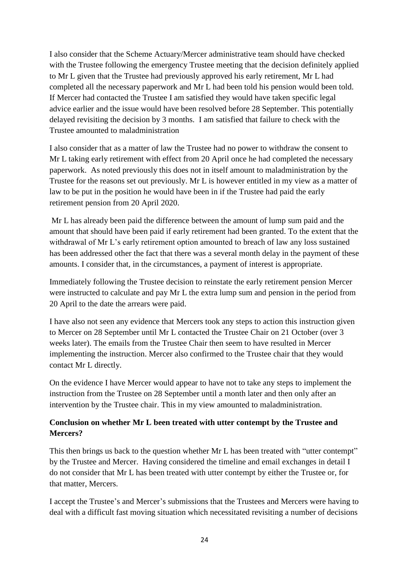I also consider that the Scheme Actuary/Mercer administrative team should have checked with the Trustee following the emergency Trustee meeting that the decision definitely applied to Mr L given that the Trustee had previously approved his early retirement, Mr L had completed all the necessary paperwork and Mr L had been told his pension would been told. If Mercer had contacted the Trustee I am satisfied they would have taken specific legal advice earlier and the issue would have been resolved before 28 September. This potentially delayed revisiting the decision by 3 months. I am satisfied that failure to check with the Trustee amounted to maladministration

I also consider that as a matter of law the Trustee had no power to withdraw the consent to Mr L taking early retirement with effect from 20 April once he had completed the necessary paperwork. As noted previously this does not in itself amount to maladministration by the Trustee for the reasons set out previously. Mr L is however entitled in my view as a matter of law to be put in the position he would have been in if the Trustee had paid the early retirement pension from 20 April 2020.

Mr L has already been paid the difference between the amount of lump sum paid and the amount that should have been paid if early retirement had been granted. To the extent that the withdrawal of Mr L's early retirement option amounted to breach of law any loss sustained has been addressed other the fact that there was a several month delay in the payment of these amounts. I consider that, in the circumstances, a payment of interest is appropriate.

Immediately following the Trustee decision to reinstate the early retirement pension Mercer were instructed to calculate and pay Mr L the extra lump sum and pension in the period from 20 April to the date the arrears were paid.

I have also not seen any evidence that Mercers took any steps to action this instruction given to Mercer on 28 September until Mr L contacted the Trustee Chair on 21 October (over 3 weeks later). The emails from the Trustee Chair then seem to have resulted in Mercer implementing the instruction. Mercer also confirmed to the Trustee chair that they would contact Mr L directly.

On the evidence I have Mercer would appear to have not to take any steps to implement the instruction from the Trustee on 28 September until a month later and then only after an intervention by the Trustee chair. This in my view amounted to maladministration.

# **Conclusion on whether Mr L been treated with utter contempt by the Trustee and Mercers?**

This then brings us back to the question whether Mr L has been treated with "utter contempt" by the Trustee and Mercer. Having considered the timeline and email exchanges in detail I do not consider that Mr L has been treated with utter contempt by either the Trustee or, for that matter, Mercers.

I accept the Trustee's and Mercer's submissions that the Trustees and Mercers were having to deal with a difficult fast moving situation which necessitated revisiting a number of decisions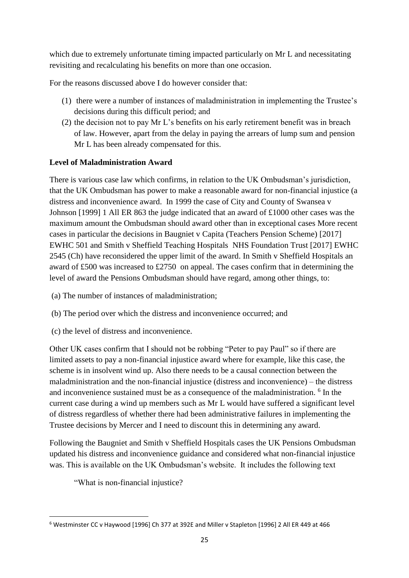which due to extremely unfortunate timing impacted particularly on Mr L and necessitating revisiting and recalculating his benefits on more than one occasion.

For the reasons discussed above I do however consider that:

- (1) there were a number of instances of maladministration in implementing the Trustee's decisions during this difficult period; and
- (2) the decision not to pay Mr L's benefits on his early retirement benefit was in breach of law. However, apart from the delay in paying the arrears of lump sum and pension Mr L has been already compensated for this.

# **Level of Maladministration Award**

There is various case law which confirms, in relation to the UK Ombudsman's jurisdiction, that the UK Ombudsman has power to make a reasonable award for non-financial injustice (a distress and inconvenience award. In 1999 the case of City and County of Swansea v Johnson [1999] 1 All ER 863 the judge indicated that an award of £1000 other cases was the maximum amount the Ombudsman should award other than in exceptional cases More recent cases in particular the decisions in Baugniet v Capita (Teachers Pension Scheme) [2017] EWHC 501 and Smith v Sheffield Teaching Hospitals NHS Foundation Trust [2017] EWHC 2545 (Ch) have reconsidered the upper limit of the award. In Smith v Sheffield Hospitals an award of £500 was increased to £2750 on appeal. The cases confirm that in determining the level of award the Pensions Ombudsman should have regard, among other things, to:

- (a) The number of instances of maladministration;
- (b) The period over which the distress and inconvenience occurred; and
- (c) the level of distress and inconvenience.

Other UK cases confirm that I should not be robbing "Peter to pay Paul" so if there are limited assets to pay a non-financial injustice award where for example, like this case, the scheme is in insolvent wind up. Also there needs to be a causal connection between the maladministration and the non-financial injustice (distress and inconvenience) – the distress and inconvenience sustained must be as a consequence of the maladministration. <sup>6</sup> In the current case during a wind up members such as Mr L would have suffered a significant level of distress regardless of whether there had been administrative failures in implementing the Trustee decisions by Mercer and I need to discount this in determining any award.

Following the Baugniet and Smith v Sheffield Hospitals cases the UK Pensions Ombudsman updated his distress and inconvenience guidance and considered what non-financial injustice was. This is available on the UK Ombudsman's website. It includes the following text

"What is non-financial injustice?

**.** 

<sup>6</sup> Westminster CC v Haywood [1996] Ch 377 at 392E and Miller v Stapleton [1996] 2 All ER 449 at 466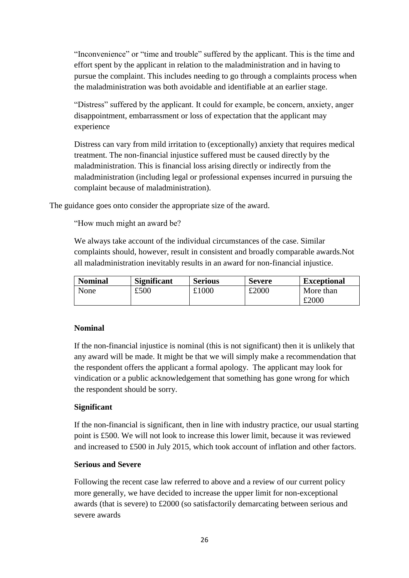"Inconvenience" or "time and trouble" suffered by the applicant. This is the time and effort spent by the applicant in relation to the maladministration and in having to pursue the complaint. This includes needing to go through a complaints process when the maladministration was both avoidable and identifiable at an earlier stage.

"Distress" suffered by the applicant. It could for example, be concern, anxiety, anger disappointment, embarrassment or loss of expectation that the applicant may experience

Distress can vary from mild irritation to (exceptionally) anxiety that requires medical treatment. The non-financial injustice suffered must be caused directly by the maladministration. This is financial loss arising directly or indirectly from the maladministration (including legal or professional expenses incurred in pursuing the complaint because of maladministration).

The guidance goes onto consider the appropriate size of the award.

"How much might an award be?

We always take account of the individual circumstances of the case. Similar complaints should, however, result in consistent and broadly comparable awards.Not all maladministration inevitably results in an award for non-financial injustice.

| <b>Nominal</b> | <b>Significant</b> | <b>Serious</b> | <b>Severe</b> | <b>Exceptional</b> |
|----------------|--------------------|----------------|---------------|--------------------|
| None           | £500               | £1000          | £2000         | More than          |
|                |                    |                |               | £2000              |

### **Nominal**

If the non-financial injustice is nominal (this is not significant) then it is unlikely that any award will be made. It might be that we will simply make a recommendation that the respondent offers the applicant a formal apology. The applicant may look for vindication or a public acknowledgement that something has gone wrong for which the respondent should be sorry.

### **Significant**

If the non-financial is significant, then in line with industry practice, our usual starting point is £500. We will not look to increase this lower limit, because it was reviewed and increased to £500 in July 2015, which took account of inflation and other factors.

#### **Serious and Severe**

Following the recent case law referred to above and a review of our current policy more generally, we have decided to increase the upper limit for non-exceptional awards (that is severe) to £2000 (so satisfactorily demarcating between serious and severe awards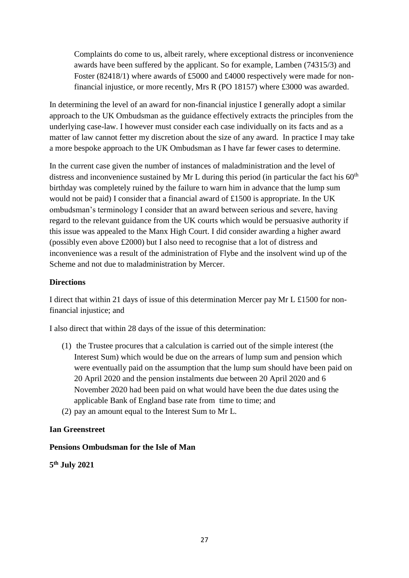Complaints do come to us, albeit rarely, where exceptional distress or inconvenience awards have been suffered by the applicant. So for example, Lamben (74315/3) and Foster (82418/1) where awards of £5000 and £4000 respectively were made for nonfinancial injustice, or more recently, Mrs R (PO 18157) where £3000 was awarded.

In determining the level of an award for non-financial injustice I generally adopt a similar approach to the UK Ombudsman as the guidance effectively extracts the principles from the underlying case-law. I however must consider each case individually on its facts and as a matter of law cannot fetter my discretion about the size of any award. In practice I may take a more bespoke approach to the UK Ombudsman as I have far fewer cases to determine.

In the current case given the number of instances of maladministration and the level of distress and inconvenience sustained by Mr L during this period (in particular the fact his  $60<sup>th</sup>$ birthday was completely ruined by the failure to warn him in advance that the lump sum would not be paid) I consider that a financial award of £1500 is appropriate. In the UK ombudsman's terminology I consider that an award between serious and severe, having regard to the relevant guidance from the UK courts which would be persuasive authority if this issue was appealed to the Manx High Court. I did consider awarding a higher award (possibly even above £2000) but I also need to recognise that a lot of distress and inconvenience was a result of the administration of Flybe and the insolvent wind up of the Scheme and not due to maladministration by Mercer.

#### **Directions**

I direct that within 21 days of issue of this determination Mercer pay Mr L £1500 for nonfinancial injustice; and

I also direct that within 28 days of the issue of this determination:

- (1) the Trustee procures that a calculation is carried out of the simple interest (the Interest Sum) which would be due on the arrears of lump sum and pension which were eventually paid on the assumption that the lump sum should have been paid on 20 April 2020 and the pension instalments due between 20 April 2020 and 6 November 2020 had been paid on what would have been the due dates using the applicable Bank of England base rate from time to time; and
- (2) pay an amount equal to the Interest Sum to Mr L.

#### **Ian Greenstreet**

#### **Pensions Ombudsman for the Isle of Man**

**5 th July 2021**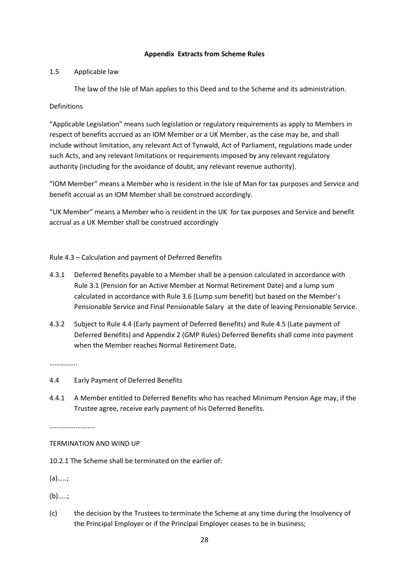#### **Appendix Extracts from Scheme Rules**

#### 1.5 Applicable law

The law of the Isle of Man applies to this Deed and to the Scheme and its administration.

#### Definitions

"Applicable Legislation" means such legislation or regulatory requirements as apply to Members in respect of benefits accrued as an IOM Member or a UK Member, as the case may be, and shall include without limitation, any relevant Act of Tynwald, Act of Parliament, regulations made under such Acts, and any relevant limitations or requirements imposed by any relevant regulatory authority (including for the avoidance of doubt, any relevant revenue authority).

"IOM Member" means a Member who is resident in the Isle of Man for tax purposes and Service and benefit accrual as an IOM Member shall be construed accordingly.

"UK Member" means a Member who is resident in the UK for tax purposes and Service and benefit accrual as a UK Member shall be construed accordingly

Rule 4.3 – Calculation and payment of Deferred Benefits

- 4.3.1 Deferred Benefits payable to a Member shall be a pension calculated in accordance with Rule 3.1 (Pension for an Active Member at Normal Retirement Date) and a lump sum calculated in accordance with Rule 3.6 (Lump sum benefit) but based on the Member's Pensionable Service and Final Pensionable Salary at the date of leaving Pensionable Service.
- 4.3.2 Subject to Rule 4.4 (Early payment of Deferred Benefits) and Rule 4.5 (Late payment of Deferred Benefits) and Appendix 2 (GMP Rules) Deferred Benefits shall come into payment when the Member reaches Normal Retirement Date.

……………

- 4.4 Early Payment of Deferred Benefits
- 4.4.1 A Member entitled to Deferred Benefits who has reached Minimum Pension Age may, if the Trustee agree, receive early payment of his Deferred Benefits.

……………………..

#### TERMINATION AND WIND UP

10.2.1 The Scheme shall be terminated on the earlier of:

(a)…..;

(b)…..;

(c) the decision by the Trustees to terminate the Scheme at any time during the Insolvency of the Principal Employer or if the Principal Employer ceases to be in business;